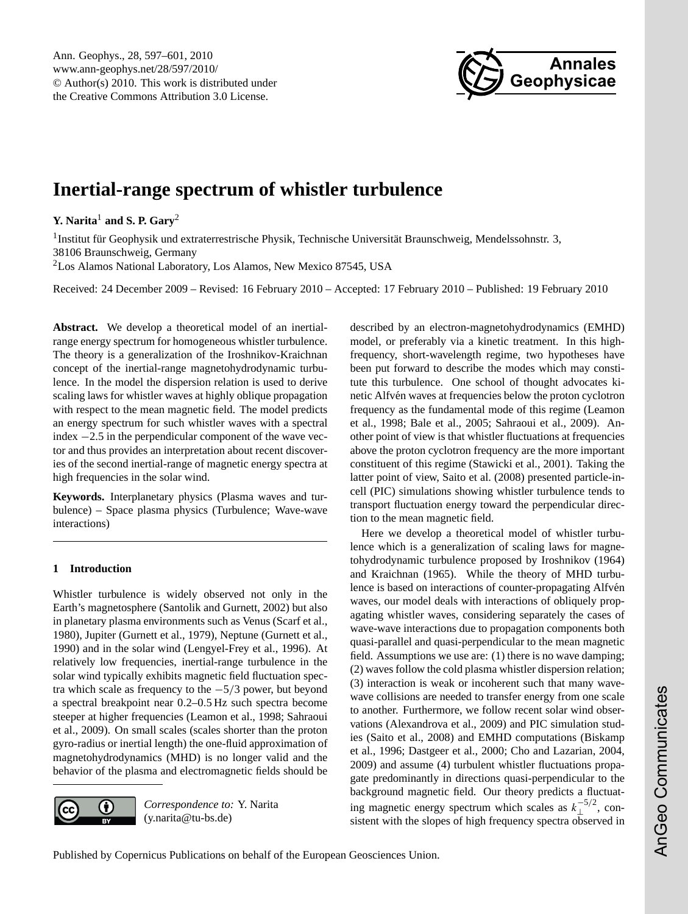

# <span id="page-0-0"></span>**Inertial-range spectrum of whistler turbulence**

**Y. Narita**<sup>1</sup> **and S. P. Gary**<sup>2</sup>

<sup>1</sup> Institut für Geophysik und extraterrestrische Physik, Technische Universität Braunschweig, Mendelssohnstr. 3, 38106 Braunschweig, Germany <sup>2</sup>Los Alamos National Laboratory, Los Alamos, New Mexico 87545, USA

Received: 24 December 2009 – Revised: 16 February 2010 – Accepted: 17 February 2010 – Published: 19 February 2010

**Abstract.** We develop a theoretical model of an inertialrange energy spectrum for homogeneous whistler turbulence. The theory is a generalization of the Iroshnikov-Kraichnan concept of the inertial-range magnetohydrodynamic turbulence. In the model the dispersion relation is used to derive scaling laws for whistler waves at highly oblique propagation with respect to the mean magnetic field. The model predicts an energy spectrum for such whistler waves with a spectral index −2.5 in the perpendicular component of the wave vector and thus provides an interpretation about recent discoveries of the second inertial-range of magnetic energy spectra at high frequencies in the solar wind.

**Keywords.** Interplanetary physics (Plasma waves and turbulence) – Space plasma physics (Turbulence; Wave-wave interactions)

# **1 Introduction**

Whistler turbulence is widely observed not only in the Earth's magnetosphere [\(Santolik and Gurnett,](#page-3-0) [2002\)](#page-3-0) but also in planetary plasma environments such as Venus [\(Scarf et al.,](#page-4-0) [1980\)](#page-4-0), Jupiter [\(Gurnett et al.,](#page-3-1) [1979\)](#page-3-1), Neptune [\(Gurnett et al.,](#page-3-2) [1990\)](#page-3-2) and in the solar wind [\(Lengyel-Frey et al.,](#page-3-3) [1996\)](#page-3-3). At relatively low frequencies, inertial-range turbulence in the solar wind typically exhibits magnetic field fluctuation spectra which scale as frequency to the  $-5/3$  power, but beyond a spectral breakpoint near 0.2–0.5 Hz such spectra become steeper at higher frequencies [\(Leamon et al.,](#page-3-4) [1998;](#page-3-4) [Sahraoui](#page-3-5) [et al.,](#page-3-5) [2009\)](#page-3-5). On small scales (scales shorter than the proton gyro-radius or inertial length) the one-fluid approximation of magnetohydrodynamics (MHD) is no longer valid and the behavior of the plasma and electromagnetic fields should be



*Correspondence to:* Y. Narita (y.narita@tu-bs.de)

described by an electron-magnetohydrodynamics (EMHD) model, or preferably via a kinetic treatment. In this highfrequency, short-wavelength regime, two hypotheses have been put forward to describe the modes which may constitute this turbulence. One school of thought advocates kinetic Alfvén waves at frequencies below the proton cyclotron frequency as the fundamental mode of this regime [\(Leamon](#page-3-4) [et al.,](#page-3-4) [1998;](#page-3-4) [Bale et al.,](#page-3-6) [2005;](#page-3-6) [Sahraoui et al.,](#page-3-5) [2009\)](#page-3-5). Another point of view is that whistler fluctuations at frequencies above the proton cyclotron frequency are the more important constituent of this regime [\(Stawicki et al.,](#page-4-1) [2001\)](#page-4-1). Taking the latter point of view, [Saito et al.](#page-3-7) [\(2008\)](#page-3-7) presented particle-incell (PIC) simulations showing whistler turbulence tends to transport fluctuation energy toward the perpendicular direction to the mean magnetic field.

Here we develop a theoretical model of whistler turbulence which is a generalization of scaling laws for magnetohydrodynamic turbulence proposed by [Iroshnikov](#page-3-8) [\(1964\)](#page-3-8) and [Kraichnan](#page-3-9) [\(1965\)](#page-3-9). While the theory of MHD turbulence is based on interactions of counter-propagating Alfvén waves, our model deals with interactions of obliquely propagating whistler waves, considering separately the cases of wave-wave interactions due to propagation components both quasi-parallel and quasi-perpendicular to the mean magnetic field. Assumptions we use are: (1) there is no wave damping; (2) waves follow the cold plasma whistler dispersion relation; (3) interaction is weak or incoherent such that many wavewave collisions are needed to transfer energy from one scale to another. Furthermore, we follow recent solar wind observations [\(Alexandrova et al.,](#page-3-10) [2009\)](#page-3-10) and PIC simulation studies [\(Saito et al.,](#page-3-7) [2008\)](#page-3-7) and EMHD computations [\(Biskamp](#page-3-11) [et al.,](#page-3-11) [1996;](#page-3-11) [Dastgeer et al.,](#page-3-12) [2000;](#page-3-12) [Cho and Lazarian,](#page-3-13) [2004,](#page-3-13) [2009\)](#page-3-14) and assume (4) turbulent whistler fluctuations propagate predominantly in directions quasi-perpendicular to the background magnetic field. Our theory predicts a fluctuating magnetic energy spectrum which scales as  $k_{\perp}^{-5/2}$ , consistent with the slopes of high frequency spectra observed in

Published by Copernicus Publications on behalf of the European Geosciences Union.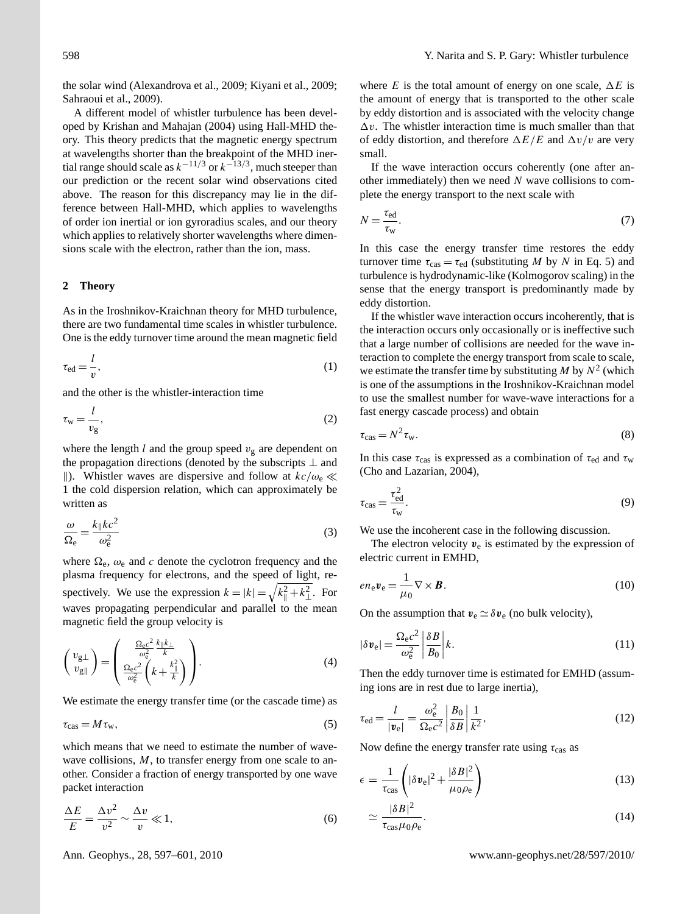the solar wind [\(Alexandrova et al.,](#page-3-10) [2009;](#page-3-10) [Kiyani et al.,](#page-3-15) [2009;](#page-3-15) [Sahraoui et al.,](#page-3-5) [2009\)](#page-3-5).

A different model of whistler turbulence has been developed by [Krishan and Mahajan](#page-3-16) [\(2004\)](#page-3-16) using Hall-MHD theory. This theory predicts that the magnetic energy spectrum at wavelengths shorter than the breakpoint of the MHD inertial range should scale as  $k^{-1/3}$  or  $k^{-1/3/3}$ , much steeper than our prediction or the recent solar wind observations cited above. The reason for this discrepancy may lie in the difference between Hall-MHD, which applies to wavelengths of order ion inertial or ion gyroradius scales, and our theory which applies to relatively shorter wavelengths where dimensions scale with the electron, rather than the ion, mass.

## **2 Theory**

As in the Iroshnikov-Kraichnan theory for MHD turbulence, there are two fundamental time scales in whistler turbulence. One is the eddy turnover time around the mean magnetic field

$$
\tau_{\rm ed} = \frac{l}{v},\tag{1}
$$

and the other is the whistler-interaction time

$$
\tau_{\rm w} = \frac{l}{v_{\rm g}},\tag{2}
$$

where the length l and the group speed  $v_{\rm g}$  are dependent on the propagation directions (denoted by the subscripts  $\perp$  and ||). Whistler waves are dispersive and follow at  $k c/\omega_e \ll$ 1 the cold dispersion relation, which can approximately be written as

$$
\frac{\omega}{\Omega_e} = \frac{k_{\parallel}kc^2}{\omega_e^2} \tag{3}
$$

where  $\Omega_e$ ,  $\omega_e$  and c denote the cyclotron frequency and the plasma frequency for electrons, and the speed of light, respectively. We use the expression  $k = |k| = \sqrt{k_{\parallel}^2 + k_{\perp}^2}$ . For waves propagating perpendicular and parallel to the mean magnetic field the group velocity is

$$
\begin{pmatrix} v_{g\perp} \\ v_{g\parallel} \end{pmatrix} = \begin{pmatrix} \frac{\Omega_{\rm e}c^2}{\omega_{\rm e}^2} \frac{k_{\parallel}k_{\perp}}{k} \\ \frac{\Omega_{\rm e}c^2}{\omega_{\rm e}^2} \left(k + \frac{k_{\parallel}^2}{k}\right) \end{pmatrix}.
$$
 (4)

We estimate the energy transfer time (or the cascade time) as

<span id="page-1-0"></span>
$$
\tau_{\rm cas} = M \,\tau_{\rm w},\tag{5}
$$

which means that we need to estimate the number of wavewave collisions, M, to transfer energy from one scale to another. Consider a fraction of energy transported by one wave packet interaction

$$
\frac{\Delta E}{E} = \frac{\Delta v^2}{v^2} \sim \frac{\Delta v}{v} \ll 1,
$$
\n(6)

where E is the total amount of energy on one scale,  $\Delta E$  is the amount of energy that is transported to the other scale by eddy distortion and is associated with the velocity change  $\Delta v$ . The whistler interaction time is much smaller than that of eddy distortion, and therefore  $\Delta E/E$  and  $\Delta v/v$  are very small.

If the wave interaction occurs coherently (one after another immediately) then we need  $N$  wave collisions to complete the energy transport to the next scale with

$$
N = \frac{\tau_{\text{ed}}}{\tau_{\text{w}}}.\tag{7}
$$

In this case the energy transfer time restores the eddy turnover time  $\tau_{\text{cas}} = \tau_{\text{ed}}$  (substituting M by N in Eq. [5\)](#page-1-0) and turbulence is hydrodynamic-like (Kolmogorov scaling) in the sense that the energy transport is predominantly made by eddy distortion.

If the whistler wave interaction occurs incoherently, that is the interaction occurs only occasionally or is ineffective such that a large number of collisions are needed for the wave interaction to complete the energy transport from scale to scale, we estimate the transfer time by substituting M by  $N^2$  (which is one of the assumptions in the Iroshnikov-Kraichnan model to use the smallest number for wave-wave interactions for a fast energy cascade process) and obtain

$$
\tau_{\text{cas}} = N^2 \tau_w. \tag{8}
$$

In this case  $\tau_{\text{cas}}$  is expressed as a combination of  $\tau_{\text{ed}}$  and  $\tau_{\text{w}}$ [\(Cho and Lazarian,](#page-3-13) [2004\)](#page-3-13),

<span id="page-1-2"></span>
$$
\tau_{\text{cas}} = \frac{\tau_{\text{ed}}^2}{\tau_{\text{w}}}.\tag{9}
$$

We use the incoherent case in the following discussion.

The electron velocity  $v_e$  is estimated by the expression of electric current in EMHD,

$$
en_{e}\mathbf{v}_{e} = \frac{1}{\mu_{0}}\nabla \times \mathbf{B}.
$$
 (10)

On the assumption that  $v_e \simeq \delta v_e$  (no bulk velocity),

<span id="page-1-1"></span>
$$
|\delta v_{\rm e}| = \frac{\Omega_{\rm e}c^2}{\omega_{\rm e}^2} \left| \frac{\delta B}{B_0} \right| k. \tag{11}
$$

Then the eddy turnover time is estimated for EMHD (assuming ions are in rest due to large inertia),

$$
\tau_{\rm ed} = \frac{l}{|\mathbf{v}_{\rm e}|} = \frac{\omega_{\rm e}^2}{\Omega_{\rm e}c^2} \left| \frac{B_0}{\delta B} \right| \frac{1}{k^2},\tag{12}
$$

Now define the energy transfer rate using  $\tau_{\text{cas}}$  as

$$
\epsilon = \frac{1}{\tau_{\text{cas}}} \left( |\delta v_{\text{e}}|^2 + \frac{|\delta B|^2}{\mu_0 \rho_{\text{e}}} \right) \tag{13}
$$

$$
\simeq \frac{|\delta B|^2}{\tau_{\rm cas} \mu_0 \rho_{\rm e}}.\tag{14}
$$

Ann. Geophys., 28, 597[–601,](#page-0-0) 2010 www.ann-geophys.net/28/597/2010/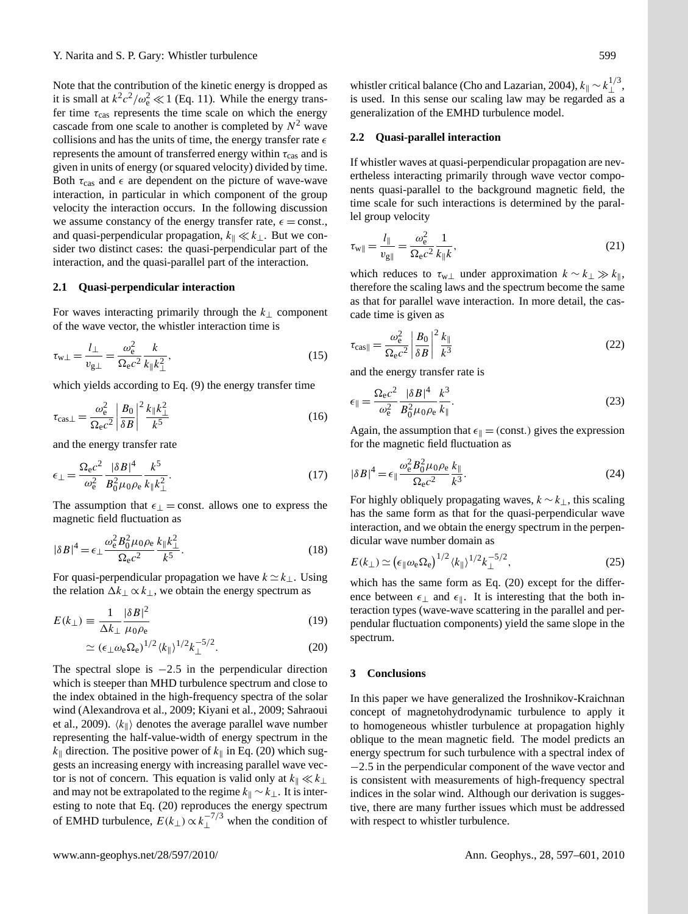Note that the contribution of the kinetic energy is dropped as it is small at  $k^2c^2/\omega_e^2 \ll 1$  (Eq. [11\)](#page-1-1). While the energy transfer time  $\tau_{\text{cas}}$  represents the time scale on which the energy cascade from one scale to another is completed by  $N^2$  wave collisions and has the units of time, the energy transfer rate  $\epsilon$ represents the amount of transferred energy within  $\tau_{\text{cas}}$  and is given in units of energy (or squared velocity) divided by time. Both  $\tau_{\text{cas}}$  and  $\epsilon$  are dependent on the picture of wave-wave interaction, in particular in which component of the group velocity the interaction occurs. In the following discussion we assume constancy of the energy transfer rate,  $\epsilon$  = const., and quasi-perpendicular propagation,  $k_{\parallel} \ll k_{\perp}$ . But we consider two distinct cases: the quasi-perpendicular part of the interaction, and the quasi-parallel part of the interaction.

# **2.1 Quasi-perpendicular interaction**

For waves interacting primarily through the  $k_{\perp}$  component of the wave vector, the whistler interaction time is

$$
\tau_{w\perp} = \frac{l_{\perp}}{v_{g\perp}} = \frac{\omega_e^2}{\Omega_e c^2} \frac{k}{k_{\parallel} k_{\perp}^2},\tag{15}
$$

which yields according to Eq. [\(9\)](#page-1-2) the energy transfer time

$$
\tau_{\text{cas}\perp} = \frac{\omega_{\text{e}}^2}{\Omega_{\text{e}}c^2} \left| \frac{B_0}{\delta B} \right|^2 \frac{k_{\parallel}k_{\perp}^2}{k^5} \tag{16}
$$

and the energy transfer rate

$$
\epsilon_{\perp} = \frac{\Omega_{\rm e}c^2}{\omega_{\rm e}^2} \frac{|\delta B|^4}{B_0^2 \mu_0 \rho_{\rm e}} \frac{k^5}{k_{\parallel}k_{\perp}^2}.
$$
\n(17)

The assumption that  $\epsilon_{\perp}$  = const. allows one to express the magnetic field fluctuation as

$$
|\delta B|^4 = \epsilon_{\perp} \frac{\omega_{\rm e}^2 B_0^2 \mu_0 \rho_{\rm e}}{\Omega_{\rm e} c^2} \frac{k_{\parallel} k_{\perp}^2}{k^5}.
$$
 (18)

For quasi-perpendicular propagation we have  $k \simeq k_{\perp}$ . Using the relation  $\Delta k_{\perp} \propto k_{\perp}$ , we obtain the energy spectrum as

<span id="page-2-0"></span>
$$
E(k_{\perp}) \equiv \frac{1}{\Delta k_{\perp}} \frac{|\delta B|^2}{\mu_0 \rho_e} \tag{19}
$$

$$
\simeq (\epsilon_{\perp}\omega_{\rm e}\Omega_{\rm e})^{1/2} \langle k_{\parallel} \rangle^{1/2} k_{\perp}^{-5/2}.
$$
 (20)

The spectral slope is  $-2.5$  in the perpendicular direction which is steeper than MHD turbulence spectrum and close to the index obtained in the high-frequency spectra of the solar wind [\(Alexandrova et al.,](#page-3-10) [2009;](#page-3-10) [Kiyani et al.,](#page-3-15) [2009;](#page-3-15) [Sahraoui](#page-3-5) [et al.,](#page-3-5) [2009\)](#page-3-5).  $\langle k_{\parallel} \rangle$  denotes the average parallel wave number representing the half-value-width of energy spectrum in the  $k_{\parallel}$  direction. The positive power of  $k_{\parallel}$  in Eq. [\(20\)](#page-2-0) which suggests an increasing energy with increasing parallel wave vector is not of concern. This equation is valid only at  $k_{\parallel} \ll k_{\perp}$ and may not be extrapolated to the regime  $k_{\parallel} \sim k_{\perp}$ . It is interesting to note that Eq. [\(20\)](#page-2-0) reproduces the energy spectrum of EMHD turbulence,  $E(k_{\perp}) \propto k_{\perp}^{-7/3}$  when the condition of

whistler critical balance [\(Cho and Lazarian,](#page-3-13) [2004\)](#page-3-13),  $k_{\parallel} \sim k_{\perp}^{1/3}$ , is used. In this sense our scaling law may be regarded as a generalization of the EMHD turbulence model.

#### **2.2 Quasi-parallel interaction**

If whistler waves at quasi-perpendicular propagation are nevertheless interacting primarily through wave vector components quasi-parallel to the background magnetic field, the time scale for such interactions is determined by the parallel group velocity

$$
\tau_{w\parallel} = \frac{l_{\parallel}}{v_{g\parallel}} = \frac{\omega_e^2}{\Omega_e c^2} \frac{1}{k_{\parallel} k},\tag{21}
$$

which reduces to  $\tau_{w\perp}$  under approximation  $k \sim k_{\perp} \gg k_{\parallel}$ , therefore the scaling laws and the spectrum become the same as that for parallel wave interaction. In more detail, the cascade time is given as

$$
\tau_{\text{cas} \parallel} = \frac{\omega_{\text{e}}^2}{\Omega_{\text{e}} c^2} \left| \frac{B_0}{\delta B} \right|^2 \frac{k_{\parallel}}{k^3} \tag{22}
$$

and the energy transfer rate is

$$
\epsilon_{\parallel} = \frac{\Omega_{\rm e} c^2}{\omega_{\rm e}^2} \frac{|\delta B|^4}{B_0^2 \mu_0 \rho_{\rm e}} \frac{k^3}{k_{\parallel}}.
$$
\n(23)

Again, the assumption that  $\epsilon_{\parallel} = (const.)$  gives the expression for the magnetic field fluctuation as

$$
|\delta B|^4 = \epsilon_{\parallel} \frac{\omega_{\rm e}^2 B_0^2 \mu_0 \rho_{\rm e}}{\Omega_{\rm e} c^2} \frac{k_{\parallel}}{k^3}.
$$
 (24)

For highly obliquely propagating waves,  $k \sim k_{\perp}$ , this scaling has the same form as that for the quasi-perpendicular wave interaction, and we obtain the energy spectrum in the perpendicular wave number domain as

$$
E(k_{\perp}) \simeq \left(\epsilon_{\parallel} \omega_{\rm e} \Omega_{\rm e}\right)^{1/2} \langle k_{\parallel} \rangle^{1/2} k_{\perp}^{-5/2},\tag{25}
$$

which has the same form as Eq. [\(20\)](#page-2-0) except for the difference between  $\epsilon_{\perp}$  and  $\epsilon_{\parallel}$ . It is interesting that the both interaction types (wave-wave scattering in the parallel and perpendular fluctuation components) yield the same slope in the spectrum.

#### **3 Conclusions**

In this paper we have generalized the Iroshnikov-Kraichnan concept of magnetohydrodynamic turbulence to apply it to homogeneous whistler turbulence at propagation highly oblique to the mean magnetic field. The model predicts an energy spectrum for such turbulence with a spectral index of −2.5 in the perpendicular component of the wave vector and is consistent with measurements of high-frequency spectral indices in the solar wind. Although our derivation is suggestive, there are many further issues which must be addressed with respect to whistler turbulence.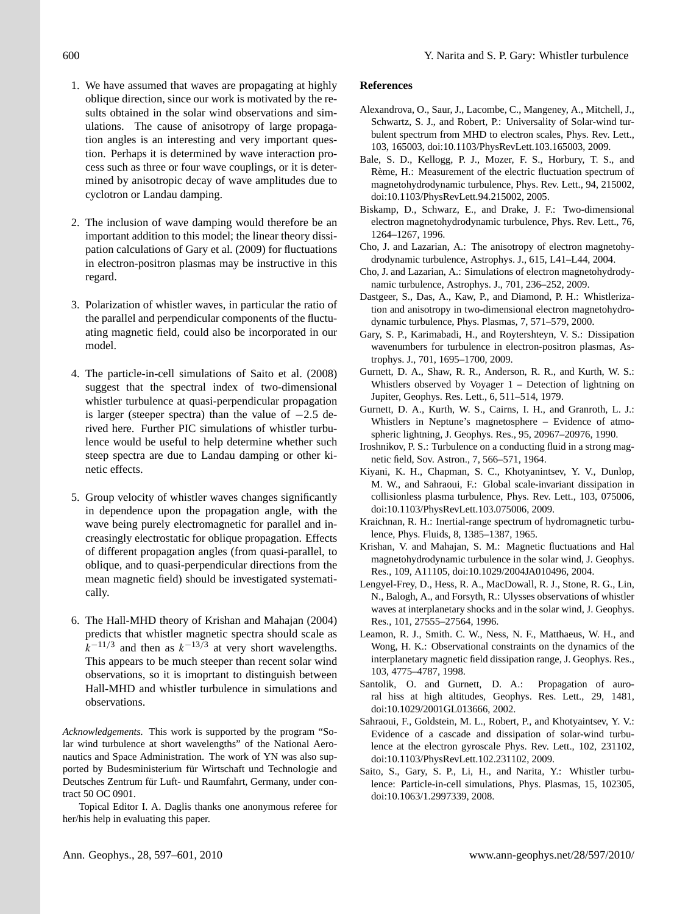- 1. We have assumed that waves are propagating at highly oblique direction, since our work is motivated by the results obtained in the solar wind observations and simulations. The cause of anisotropy of large propagation angles is an interesting and very important question. Perhaps it is determined by wave interaction process such as three or four wave couplings, or it is determined by anisotropic decay of wave amplitudes due to cyclotron or Landau damping.
- 2. The inclusion of wave damping would therefore be an important addition to this model; the linear theory dissipation calculations of [Gary et al.](#page-3-17) [\(2009\)](#page-3-17) for fluctuations in electron-positron plasmas may be instructive in this regard.
- 3. Polarization of whistler waves, in particular the ratio of the parallel and perpendicular components of the fluctuating magnetic field, could also be incorporated in our model.
- 4. The particle-in-cell simulations of [Saito et al.](#page-3-7) [\(2008\)](#page-3-7) suggest that the spectral index of two-dimensional whistler turbulence at quasi-perpendicular propagation is larger (steeper spectra) than the value of  $-2.5$  derived here. Further PIC simulations of whistler turbulence would be useful to help determine whether such steep spectra are due to Landau damping or other kinetic effects.
- 5. Group velocity of whistler waves changes significantly in dependence upon the propagation angle, with the wave being purely electromagnetic for parallel and increasingly electrostatic for oblique propagation. Effects of different propagation angles (from quasi-parallel, to oblique, and to quasi-perpendicular directions from the mean magnetic field) should be investigated systematically.
- 6. The Hall-MHD theory of [Krishan and Mahajan](#page-3-16) [\(2004\)](#page-3-16) predicts that whistler magnetic spectra should scale as  $k^{-11/3}$  and then as  $k^{-13/3}$  at very short wavelengths. This appears to be much steeper than recent solar wind observations, so it is imoprtant to distinguish between Hall-MHD and whistler turbulence in simulations and observations.

*Acknowledgements.* This work is supported by the program "Solar wind turbulence at short wavelengths" of the National Aeronautics and Space Administration. The work of YN was also supported by Budesministerium für Wirtschaft und Technologie and Deutsches Zentrum für Luft- und Raumfahrt, Germany, under contract 50 OC 0901.

Topical Editor I. A. Daglis thanks one anonymous referee for her/his help in evaluating this paper.

## **References**

- <span id="page-3-10"></span>Alexandrova, O., Saur, J., Lacombe, C., Mangeney, A., Mitchell, J., Schwartz, S. J., and Robert, P.: Universality of Solar-wind turbulent spectrum from MHD to electron scales, Phys. Rev. Lett., 103, 165003, doi:10.1103/PhysRevLett.103.165003, 2009.
- <span id="page-3-6"></span>Bale, S. D., Kellogg, P. J., Mozer, F. S., Horbury, T. S., and Rème, H.: Measurement of the electric fluctuation spectrum of magnetohydrodynamic turbulence, Phys. Rev. Lett., 94, 215002, doi:10.1103/PhysRevLett.94.215002, 2005.
- <span id="page-3-11"></span>Biskamp, D., Schwarz, E., and Drake, J. F.: Two-dimensional electron magnetohydrodynamic turbulence, Phys. Rev. Lett., 76, 1264–1267, 1996.
- <span id="page-3-13"></span>Cho, J. and Lazarian, A.: The anisotropy of electron magnetohydrodynamic turbulence, Astrophys. J., 615, L41–L44, 2004.
- <span id="page-3-14"></span>Cho, J. and Lazarian, A.: Simulations of electron magnetohydrodynamic turbulence, Astrophys. J., 701, 236–252, 2009.
- <span id="page-3-12"></span>Dastgeer, S., Das, A., Kaw, P., and Diamond, P. H.: Whistlerization and anisotropy in two-dimensional electron magnetohydrodynamic turbulence, Phys. Plasmas, 7, 571–579, 2000.
- <span id="page-3-17"></span>Gary, S. P., Karimabadi, H., and Roytershteyn, V. S.: Dissipation wavenumbers for turbulence in electron-positron plasmas, Astrophys. J., 701, 1695–1700, 2009.
- <span id="page-3-1"></span>Gurnett, D. A., Shaw, R. R., Anderson, R. R., and Kurth, W. S.: Whistlers observed by Voyager 1 – Detection of lightning on Jupiter, Geophys. Res. Lett., 6, 511–514, 1979.
- <span id="page-3-2"></span>Gurnett, D. A., Kurth, W. S., Cairns, I. H., and Granroth, L. J.: Whistlers in Neptune's magnetosphere – Evidence of atmospheric lightning, J. Geophys. Res., 95, 20967–20976, 1990.
- <span id="page-3-8"></span>Iroshnikov, P. S.: Turbulence on a conducting fluid in a strong magnetic field, Sov. Astron., 7, 566–571, 1964.
- <span id="page-3-15"></span>Kiyani, K. H., Chapman, S. C., Khotyanintsev, Y. V., Dunlop, M. W., and Sahraoui, F.: Global scale-invariant dissipation in collisionless plasma turbulence, Phys. Rev. Lett., 103, 075006, doi:10.1103/PhysRevLett.103.075006, 2009.
- <span id="page-3-9"></span>Kraichnan, R. H.: Inertial-range spectrum of hydromagnetic turbulence, Phys. Fluids, 8, 1385–1387, 1965.
- <span id="page-3-16"></span>Krishan, V. and Mahajan, S. M.: Magnetic fluctuations and Hal magnetohydrodynamic turbulence in the solar wind, J. Geophys. Res., 109, A11105, doi:10.1029/2004JA010496, 2004.
- <span id="page-3-3"></span>Lengyel-Frey, D., Hess, R. A., MacDowall, R. J., Stone, R. G., Lin, N., Balogh, A., and Forsyth, R.: Ulysses observations of whistler waves at interplanetary shocks and in the solar wind, J. Geophys. Res., 101, 27555–27564, 1996.
- <span id="page-3-4"></span>Leamon, R. J., Smith. C. W., Ness, N. F., Matthaeus, W. H., and Wong, H. K.: Observational constraints on the dynamics of the interplanetary magnetic field dissipation range, J. Geophys. Res., 103, 4775–4787, 1998.
- <span id="page-3-0"></span>Santolik, O. and Gurnett, D. A.: Propagation of auroral hiss at high altitudes, Geophys. Res. Lett., 29, 1481, doi:10.1029/2001GL013666, 2002.
- <span id="page-3-5"></span>Sahraoui, F., Goldstein, M. L., Robert, P., and Khotyaintsev, Y. V.: Evidence of a cascade and dissipation of solar-wind turbulence at the electron gyroscale Phys. Rev. Lett., 102, 231102, doi:10.1103/PhysRevLett.102.231102, 2009.
- <span id="page-3-7"></span>Saito, S., Gary, S. P., Li, H., and Narita, Y.: Whistler turbulence: Particle-in-cell simulations, Phys. Plasmas, 15, 102305, doi:10.1063/1.2997339, 2008.